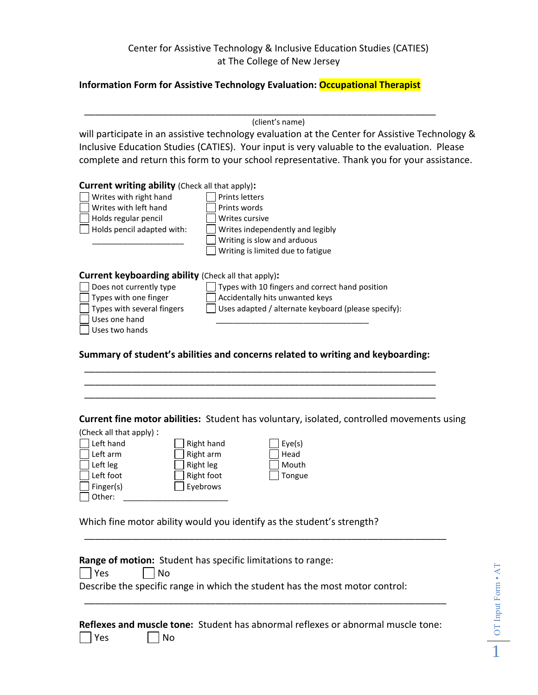## Center for Assistive Technology & Inclusive Education Studies (CATIES) at The College of New Jersey

## **Information Form for Assistive Technology Evaluation: Occupational Therapist**

\_\_\_\_\_\_\_\_\_\_\_\_\_\_\_\_\_\_\_\_\_\_\_\_\_\_\_\_\_\_\_\_\_\_\_\_\_\_\_\_\_\_\_\_\_\_\_\_\_\_\_\_\_\_\_\_\_\_\_\_\_\_\_\_\_\_\_

(client's name)

will participate in an assistive technology evaluation at the Center for Assistive Technology & Inclusive Education Studies (CATIES). Your input is very valuable to the evaluation. Please complete and return this form to your school representative. Thank you for your assistance.

| <b>Current writing ability</b> (Check all that apply):                                                                                                                          |                                                                                                                                           |
|---------------------------------------------------------------------------------------------------------------------------------------------------------------------------------|-------------------------------------------------------------------------------------------------------------------------------------------|
| Writes with right hand                                                                                                                                                          | <b>Prints letters</b>                                                                                                                     |
| Writes with left hand                                                                                                                                                           | Prints words                                                                                                                              |
| Holds regular pencil                                                                                                                                                            | Writes cursive                                                                                                                            |
| Holds pencil adapted with:                                                                                                                                                      | Writes independently and legibly                                                                                                          |
|                                                                                                                                                                                 | Writing is slow and arduous                                                                                                               |
|                                                                                                                                                                                 | Writing is limited due to fatigue                                                                                                         |
| <b>Current keyboarding ability</b> (Check all that apply):<br>Does not currently type<br>Types with one finger<br>Types with several fingers<br>Uses one hand<br>Uses two hands | Types with 10 fingers and correct hand position<br>Accidentally hits unwanted keys<br>Uses adapted / alternate keyboard (please specify): |
|                                                                                                                                                                                 | Summary of student's abilities and concerns related to writing and keyboarding:                                                           |

## \_\_\_\_\_\_\_\_\_\_\_\_\_\_\_\_\_\_\_\_\_\_\_\_\_\_\_\_\_\_\_\_\_\_\_\_\_\_\_\_\_\_\_\_\_\_\_\_\_\_\_\_\_\_\_\_\_\_\_\_\_\_\_\_\_\_\_

\_\_\_\_\_\_\_\_\_\_\_\_\_\_\_\_\_\_\_\_\_\_\_\_\_\_\_\_\_\_\_\_\_\_\_\_\_\_\_\_\_\_\_\_\_\_\_\_\_\_\_\_\_\_\_\_\_\_\_\_\_\_\_\_\_\_\_ \_\_\_\_\_\_\_\_\_\_\_\_\_\_\_\_\_\_\_\_\_\_\_\_\_\_\_\_\_\_\_\_\_\_\_\_\_\_\_\_\_\_\_\_\_\_\_\_\_\_\_\_\_\_\_\_\_\_\_\_\_\_\_\_\_\_\_

**Current fine motor abilities:** Student has voluntary, isolated, controlled movements using

| (Check all that apply): |                  |        |
|-------------------------|------------------|--------|
| Left hand               | Right hand       | Eye(s) |
| Left arm                | Right arm        | Head   |
| Left leg                | <b>Right leg</b> | Mouth  |
| Left foot               | Right foot       | Tongue |
| Finger(s)               | Eyebrows         |        |
| Other:                  |                  |        |

Which fine motor ability would you identify as the student's strength?

|         | <b>Range of motion:</b> Student has specific limitations to range:           |
|---------|------------------------------------------------------------------------------|
| $ $ Yes | $ $ No                                                                       |
|         | Describe the specific range in which the student has the most motor control: |
|         |                                                                              |
|         |                                                                              |
|         |                                                                              |